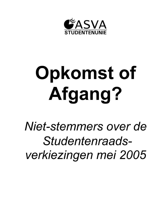

# **Opkomst of** Afgang?

*Niet-stemmers over de Studentenraads*verkiezingen mei 2005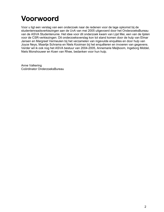#### **Voorwoord**

Voor u ligt een verslag van een onderzoek naar de redenen voor de lage opkomst bij de studentenraadsverkiezingen aan de UvA van mei 2005 uitgevoerd door het OnderzoeksBureau van de ASVA Studentenunie. Het idee voor dit onderzoek kwam van Lijst Mei, een van de lijsten voor de CSR-verkiezingen. Dit onderzoeksverslag kon tot stand komen door de hulp van Elmar Jansen en Margreet Vermeulen bij het verzamelen van ingevulde enquêtes en door hulp van Joyce Neys, Maartje Schrama en Niels Kooiman bij het enquêteren en invoeren van gegevens. Verder wil ik ook nog het ASVA bestuur van 2004-2005, Annemarie Meijboom, Ingeborg Middel, Niels Monshouwer en Koen van Rhee, bedanken voor hun hulp.

Anne Valkering Coördinator OnderzoeksBureau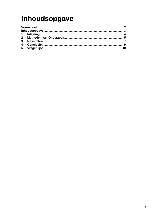## Inhoudsopgave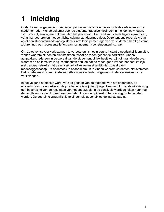#### **Inleiding** 1

Ondanks een uitgebreide promotiecampagne van verschillende kandidaat-raadsleden en de studentenraden viel de opkomst voor de studentenraadsverkiezingen in mei opnieuw tegen: 12.5 procent, een lagere opkomst dan het jaar ervoor. De trend van steeds lagere opkomsten, vorig jaar doorbroken met een lichte stijging, zet daarmee door. Deze tendens roept de vraag op of een studentenraad waarop slechts zo'n klein percentage van de studenten heeft gestemd zichzelf nog een representatief orgaan kan noemen voor studenteninspraak.

Om de opkomst voor verkiezingen te verbeteren, is het in eerste instantie noodzakelijk om uit te vinden waarom studenten niet stemmen, zodat de raden gericht de oorzaken kunnen aanpakken. Iedereen in de wereld van de studentenpolitiek heeft wel zijn of haar ideeën over waarom de opkomst zo laag is: studenten denken dat de raden geen invloed hebben, ze zijn niet genoeg betrokken bij de universiteit of ze weten eigenlijk niet zoveel over medezeggenschap. Dit onderzoek is bedoeld om uit te vinden waarom studenten niet stemmen. Het is gebaseerd op een korte enguête onder studenten uitgevoerd in de vier weken na de verkiezingen.

In het volgend hoofdstuk wordt verslag gedaan van de methode van het onderzoek, de uitvoering van de enquête en de problemen die wij hierbij tegenkwamen. In hoofdstuk drie volgt een bespreking van de resultaten van het onderzoek. In de conclusie wordt gekeken naar hoe de resultaten zouden kunnen worden gebruikt om de opkomst in het vervolg groter te laten worden. De gebruikte vragenlijst is te vinden als appendix op de laatste pagina.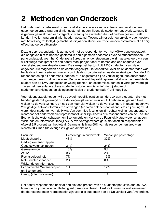#### 2 Methoden van Onderzoek

Het onderzoek is gebaseerd op een statistische analyse van de antwoorden die studenten gaven op de vraag waarom zij niet gestemd hadden tijdens de studentenraadsverkiezingen. Er is gebruik gemaakt van een vragenlijst, waarbij de studenten die niet hadden gestemd zelf konden invullen waarom zij niet hadden gestemd. Tevens zijn er ook nog enkele vragen gesteld met betrekking tot leeftijd, geslacht, studiejaar en studie, om zo te kunnen controleren of dit enig effect had op de uitkomsten.

Deze groep respondenten is aangevuld met de respondenten van het ASVA panelonderzoek die aangaven niet te hebben gestemd in een algemeen onderzoek over de studentenraden. Het panelonderzoek voert het OnderzoeksBureau uit onder studenten die zijn geselecteerd via een willekeurige steekproef om een aantal maal per jaar deel te nemen aan een enguête over allerlei studentgerelateerde zaken. De steekproef bestond uit 1500 studenten, van wie er ongeveer 260 reageerden op de eerste vragenlijst. Het onderzoek over de studentenraden was het laatste in een serie van vier en vond plaats circa drie weken na de verkiezingen. Van de 113 respondenten op dit onderzoek, hadden 61 niet gestemd bij de verkiezingen, hun antwoorden zijn meegenomen in dit onderzoek. De groep is niet bepaald representatief voor de gemiddelde student aan de UvA, aangezien er weinig rechten- en economiestudenten in vertegenwoordigd zijn en het percentage actieve studenten (studenten die actief zijn bij studie- of studentenverenigingen, opleidingscommissies of studentenraden) vrij hoog ligt.

Voor dit onderzoek hebben wij op zoveel mogelijk locaties van de UvA aan studenten die niet hadden gestemd, gevraagd of ze de vragenlijst wilden invullen. Dit hebben wij gedaan twee weken na de verkiezingen, en nog een keer vier weken na de verkiezingen. In totaal hebben we 207 geldige antwoordformulieren ontvangen (er zaten ook een aantal enguêtes bij die ingevuld waren door studenten van de HvA). Van sommige faculteiten zijn echter weinig respondenten, waardoor het onderzoek niet representatief is: er zijn slechts drie respondenten van de Faculteit Economische wetenschappen en Econometrie en vier van de Faculteit Natuurwetenschappen, Wiskunde en Informatica, terwijl ACTA oververtegenwoordigd is met achttien respondenten oftewel 8,5 procent van het totaal. Daarnaast is bijna 68% van de respondenten vrouw en slechts 30% man (de overige 2% gaven dit niet aan).

| Faculteit                  | Percentage in onderzoek | Werkelijke percentage |
|----------------------------|-------------------------|-----------------------|
| Maatschappij en            | 48%                     | 32%                   |
| Gedragswetenschappen       |                         |                       |
| Geesteswetenschappen       | 24%                     | 24%                   |
| Geneeskunde                | 10%                     | 9%                    |
| <b>ACTA</b>                | 9%                      | 2%                    |
| Rechtsgeleerdheid          | 7%                      | 13%                   |
| Natuurwetenschappen,       | 2%                      | 8%                    |
| Wiskunde en Informatica    |                         |                       |
| Economische Wetenscappen   | $1\%$                   | 12%                   |
| en Econometrie             |                         |                       |
| Overig (interdisciplinair) | 1%                      | 1%                    |

Het aantal respondenten beslaat nog niet één procent van de studentenpopulatie aan de UvA, bovendien zijn niet alle faculteiten goed gerepresenteerd. Hierdoor kunnen wij niet aannemen dat de respondenten representatief zijn voor alle studenten aan de Universiteit van Amsterdam.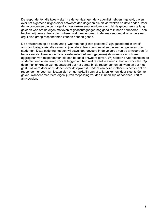De respondenten die twee weken na de verkiezingen de vragenlijst hebben ingevuld, gaven over het algemeen uitgebreider antwoord dan degenen die dit vier weken na dato deden. Voor de respondenten die de vragenlijst vier weken erna invulden, gold dat de gebeurtenis te lang geleden was om de eigen motieven of gedachtegangen nog goed te kunnen herinneren. Toch hebben wij deze antwoordformulieren wel meegenomen in de analyse, omdat wij anders een erg kleine groep respondenten zouden hebben gehad.

De antwoorden op de open vraag "waarom heb jij niet gestemd?" zijn gecodeerd in twaalf antwoordcategorieën die samen vrijwel alle antwoorden omvatten die werden gegeven door studenten. Deze codering hebben wij zowel doorgevoerd in de volgorde van de antwoorden (of het als eerste, tweede, derde of vierde antwoord werd gegeven) als in een overzicht met aggregaten van respondenten die een bepaald antwoord gaven. Wij hebben ervoor gekozen de studenten een open vraag voor te leggen om hen niet te veel te sturen in hun antwoorden. Op deze manier kregen we het antwoord dat het eerste bij de respondenten opkwam en dat niet gestuurd werd door onze ideeën over de opkomst. Nadeel van deze methode is echter dat de respondent er voor kan kiezen zich er 'gemakkelijk van af te laten komen' door slechts één te geven, wanneer meerdere eigenlijk van toepassing zouden kunnen zijn of door heel kort te antwoorden.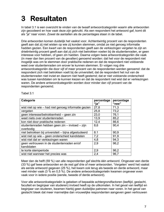## **3 Resultaten**

In tabel 3.1 is een overzicht te vinden van de twaalf antwoordcategoriën waarin alle antwoorden zijn gecodeerd en hoe vaak deze zijn gebruikt. Als een respondent het antwoord gaf, komt dit als "ja" naar voren. Zowel de aantallen als de percentages staan in de tabel.

Drie antwoorden komen duidelijk het vaakst voor. Achtentwintig procent van de respondenten geeft aan dat zij niet wisten op wie zij konden stemmen, omdat ze niet genoeg informatie hadden gezien. Een kwart van de respondenten geeft aan de verkiezingen vergeten te zijn en drieëntwintig procent geeft aan dat zij zich niet betrokken voelen bij de studentenraden, er geen interesse voor hebben, of geen zin hadden. Daarna volgen twee antwoordcategoriën die vaak (in meer dan tien procent van de gevallen) genoemd worden: dat het voor de respondent niet mogelijk was om te stemmen door praktische redenen en dat de respondent niet voldoende weet over studentenraden om erover te kunnen stemmen. Er volgen nog drie antwoordcategoriën die door vijf of meer procent van de respondenten werden genoemd: dat de respondent zich niet betrokken voelt bij de universiteit; dat de respondent het nut van de studentenraden niet inziet en daarom niet heeft gestemd; dat er niet voldoende onderscheid was tussen kandidaten om te kunnen kiezen en dat de respondent niet wist dat er verkiezingen waren. De andere antwoordcategoriën worden door minder dan vijf procent van de respondenten genoemd.

| Categorie                                            | percentage<br>"ia" | percentage<br>"nee" |
|------------------------------------------------------|--------------------|---------------------|
| wist niet op wie – had niet genoeg informatie gezien | 27,8               | 71,3                |
| vergeten                                             | 25,8               | 73,2                |
| geen interesse/betrokkenheid – geen zin              | 23,0               | 76,1                |
| weet niets over studentenraden                       | 13,9               | 85,2                |
| kon niet door praktische redenen                     | 12,4               | 86,6                |
| studentenraden hebben geen zin - invloed - zijn      | 8,6                | 90,4                |
| overbodig                                            |                    |                     |
| niet betrokken bij universiteit - bijna afgestudeerd | 8.1                | 90,9                |
| wist niet op wie – geen onderscheid kandidaten       | 7,2                | 91,9                |
| wist niet dat er verkiezingen waren                  | 4,8                | 94,3                |
| geen vertrouwen in de studentenraden en/of           | 2,9                | 96,2                |
| kandidaten                                           |                    |                     |
| te korte stemperiode                                 | 2,9                | 96,2                |
| wist niet wanneer het precies was                    | 2,4                | 96,7                |

Tabel 3.1

Meer dan de helft (59 %) van alle respondenten gaf slechts één antwoord. Ongeveer een derde (33 %) gaf twee antwoorden en de rest gaf drie of meer antwoorden. 'Vergeten' werd het vaakst als eerste antwoord gegeven (25 %), het kwam ook terug als tweede en derde antwoord, maar veel minder vaak (3 % en 0.5 %). De andere antwoordcategorieën kwamen ongeveer even vaak voor in iedere positie (eerste, tweede of derde antwoord).

Voor alle antwoordcategorieën is gekeken of bepaalde achtergrondfactoren (leeftijd, geslacht, faculteit en beginjaar van studeren) invloed heeft op de uitkomsten. In het geval van leeftijd en beginjaar van studeren, kwamen hierbij geen duidelijke patronen naar voren. In het geval van geslacht bleek dat meer mannelijke dan vrouwelijke respondenten aangeven geen vertrouwen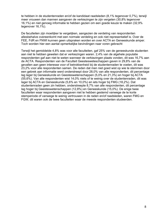te hebben in de studentenraden en/of de kandidaat raadsleden (8,1% tegenover 0,7%), terwijl meer vrouwen dan mannen aangaven de verkiezingen te zijn vergeten (30.8% tegenover 16,1%) en niet genoeg informatie te hebben gezien om een goede keuze te maken (32,9% tegenover 16,1%).

De faculteiten zijn moeilijker te vergelijken, aangezien de verdeling van respondenten allesbehalve overeenkomt met een normale verdeling en ook niet representatief is. Over de FEE, FdR en FNWI kunnen geen uitspraken worden en over ACTA en Geneeskunde amper. Toch worden hier een aantal opmerkelijke bevindingen naar voren gebracht

Terwijl het gemiddelde 4,8% was voor alle faculteiten, gaf 25% van de geneeskunde studenten aan niet te hebben geweten dat er verkiezingen waren. 2,4% van de algehele populatie respondenten gaf aan niet te weten wanneer de verkiezingen plaats vonden, dit was 16.7% aan de ACTA. Respondenten van de Faculteit Geestesweteschappen gaven in 29,8% van de gevallen aan geen interesse voor of betrokkenheid bij de studentenraden te voelen, dit was 23,2% voor alle respondenten samen. De reden dat men niet goed wist op wie te stemmen door een gebrek aan informatie werd onderstreept door 28,0% van alle respondenten, dit percentage lag lager bij Geneeskunde en Geesteswetenschappen (5,0% en 21,3%) en hoger bij ACTA (55,6%). Van alle respondenten wist 14,0% niets of te weinig over de studentenraden, dit was lager bij ACTA en Geneeskunde (5,6% en 10,0%) en iets hoger bij FMG (18,2%). Dat studentenraden geen zin hebben, onderstreepte 8,7% van alle respondenten, dit percentage lag hoger bij Geesteswetenschappen (12,8%) en Geneeskunde (15,0%). De enige twee faculteiten waar respondenten aangaven niet te hebben gestemd vanwege de te korte stemperiode of vanwege te weinig vertrouwen in de raden en/of raadsleden, waren FMG en FGW, dit waren ook de twee faculteiten waar de meeste respondenten studeerden.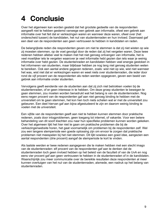## 4 Conclusie

Over het algemeen kan worden gesteld dat het grootste gedeelte van de respondenten aangeeft niet te hebben gestemd vanwege een gebrek aan informatie, ofwel een gebrek aan informatie over het feit dat er verkiezingen waren en wanneer deze waren, ofwel over (het onderscheid tussen) de kandidaten, het nut van studentenraden en hun invloed. Daarnaast gaf een deel van de respondenten aan geen vertrouwen te hebben in kandidaten en raden.

De belangrijkste reden die respondenten geven om niet te stemmen is dat zij niet wisten op wie zij moesten stemmen, op de voet gevolgd door de reden dat zij het vergeten waren. Deze twee redenen hebben allebei veel te maken met het niet genoeg ontvangen van informatie, het is veel moeilijker iets te vergeten waarover je veel informatie hebt gezien dan iets waar je weinig informatie over hebt gezien. De studentenraden en kandidaten hebben veel energie gestoken in het informeren van studenten, maar blijkbaar hebben ze nog lang niet genoeg studenten weten te bereiken. Ook een aantal andere gegeven redenen, zoals: wist niet op wie, wist niet wanneer het was, wist niet dat er verkiezingen waren en weet niets over studentenraden, die ieder door rond de vijf procent van de respondenten als reden werden opgegeven, geven een beeld van gebrek aan informatie onder studenten.

Vervolgens geeft eenderde van de studenten aan dat zij zich niet betrokken voelen bij de studentenraden, of er geen interesse in te hebben. Om deze groep studenten te bewegen te gaan stemmen, zou moeten worden benadrukt wat het belang is van de studentenraden. Nog eens negen procent van de respondenten gaf aan niet genoeg binding te hebben met de universiteit om te gaan stemmen, het kon hen toch niets schelen wat er met de universiteit zou gebeuren. Een deel hiervan gaf aan bijna afgestudeerd te zijn en daarom weinig binding te voelen met de universiteit.

Een vijfde van de respondenten geeft aan niet te hebben kunnen stemmen door praktische redenen, zoals door inlogproblemen, geen toegang tot internet, of vakantie. Voor een betere behandeling van dit soort klachten zou naar hun specifieke problemen kunnen worden gekeken. Over het algemeen lijkt het hier niet te gaan om praktische problemen die bij de verkiezingenwebsite horen, het gaat voornamelijk om problemen bij de respondenten zelf. Wel zou een langere stemperiode een goede oplossing zijn om ervoor te zorgen dat praktische problemen niet meespelen bij het niet stemmen. Dit lijkt sowieso een goed idee, aangezien een aantal respondenten (drie procent) aangaf de stemperiode te kort te vinden.

Als laatste werden er twee redenen aangegeven die te maken hebben met een slecht imago van de studentenraden: elf procent van de respondenten gaf aan te denken dat de studentenraden toch geen invloed hebben op het beleid van de faculteit of van de UvA en nog eens vier procent gaf aan geen vertrouwen te hebben in de studentenraden of in de kandidaten. Waarschijnlijk zou meer communicatie over de bereikte resultaten deze respondenten al meer kunnen overtuigen van het nut van de studentenraden, alsmede, een nadruk op het belang van studentenraden.